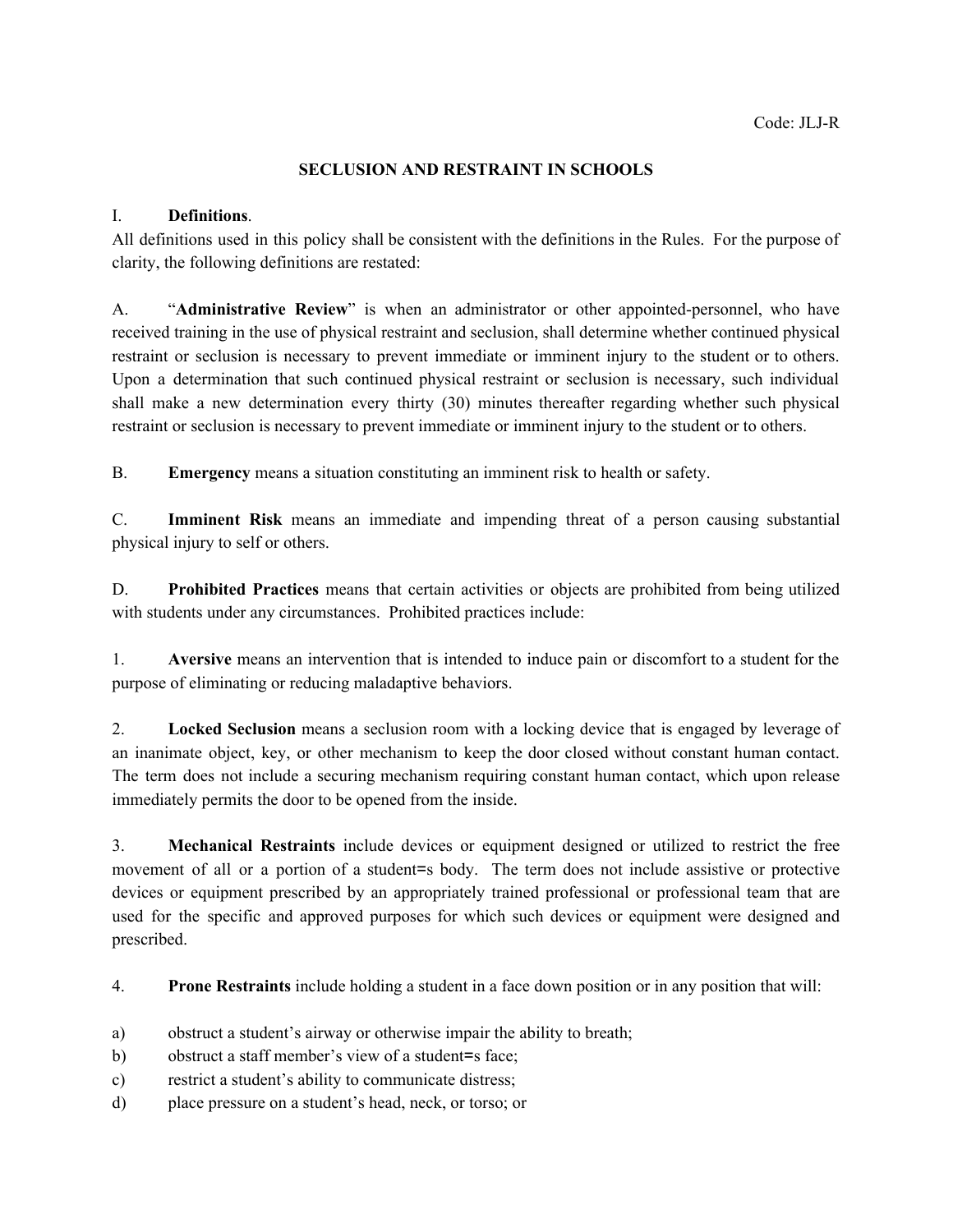### **SECLUSION AND RESTRAINT IN SCHOOLS**

### I. **Definitions**.

All definitions used in this policy shall be consistent with the definitions in the Rules. For the purpose of clarity, the following definitions are restated:

A. "**Administrative Review**" is when an administrator or other appointed-personnel, who have received training in the use of physical restraint and seclusion, shall determine whether continued physical restraint or seclusion is necessary to prevent immediate or imminent injury to the student or to others. Upon a determination that such continued physical restraint or seclusion is necessary, such individual shall make a new determination every thirty (30) minutes thereafter regarding whether such physical restraint or seclusion is necessary to prevent immediate or imminent injury to the student or to others.

B. **Emergency** means a situation constituting an imminent risk to health or safety.

C. **Imminent Risk** means an immediate and impending threat of a person causing substantial physical injury to self or others.

D. **Prohibited Practices** means that certain activities or objects are prohibited from being utilized with students under any circumstances. Prohibited practices include:

1. **Aversive** means an intervention that is intended to induce pain or discomfort to a student for the purpose of eliminating or reducing maladaptive behaviors.

2. **Locked Seclusion** means a seclusion room with a locking device that is engaged by leverage of an inanimate object, key, or other mechanism to keep the door closed without constant human contact. The term does not include a securing mechanism requiring constant human contact, which upon release immediately permits the door to be opened from the inside.

3. **Mechanical Restraints** include devices or equipment designed or utilized to restrict the free movement of all or a portion of a student=s body. The term does not include assistive or protective devices or equipment prescribed by an appropriately trained professional or professional team that are used for the specific and approved purposes for which such devices or equipment were designed and prescribed.

4. **Prone Restraints** include holding a student in a face down position or in any position that will:

- a) obstruct a student's airway or otherwise impair the ability to breath;
- b) obstruct a staff member's view of a student=s face;
- c) restrict a student's ability to communicate distress;
- d) place pressure on a student's head, neck, or torso; or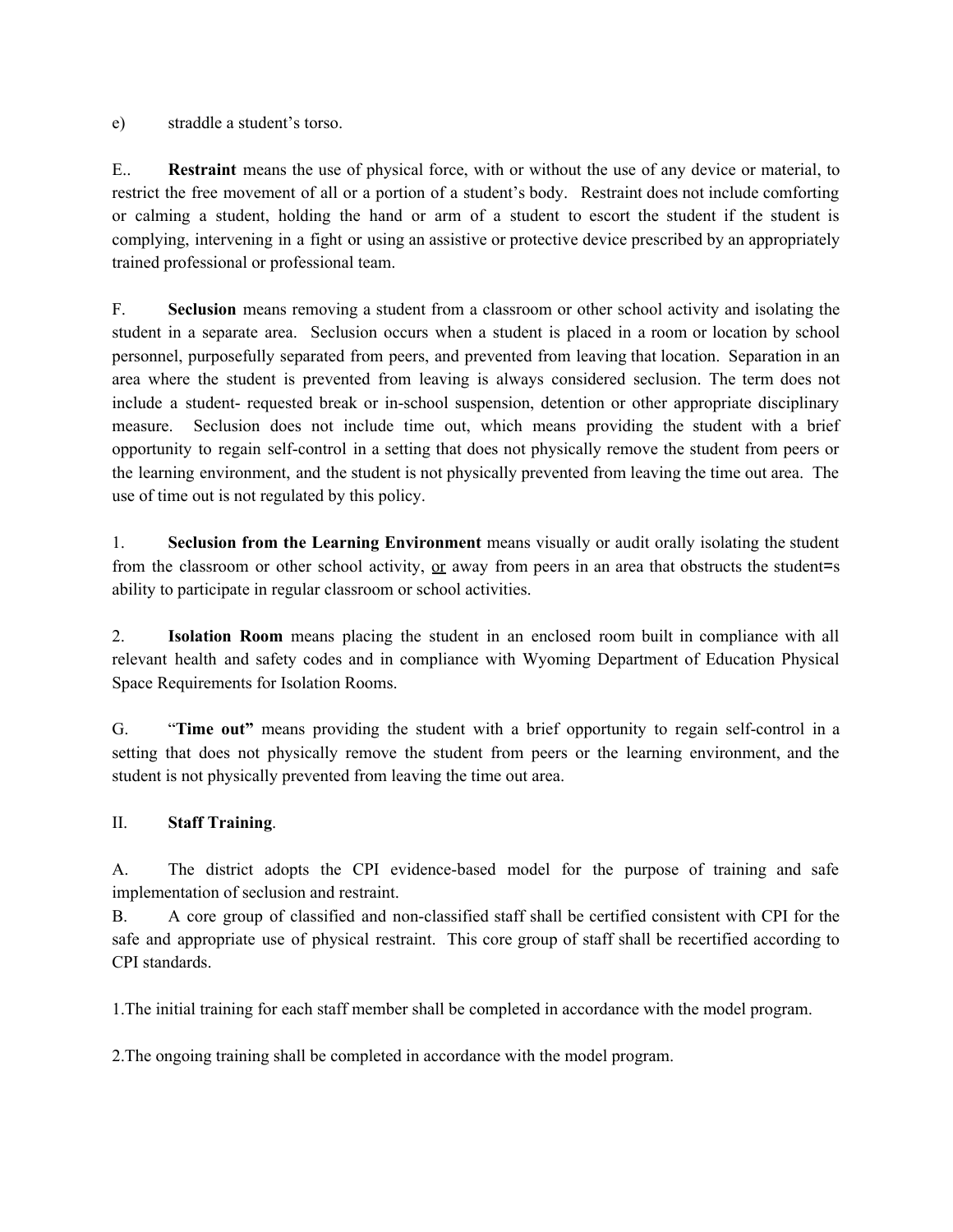e) straddle a student's torso.

E.. **Restraint** means the use of physical force, with or without the use of any device or material, to restrict the free movement of all or a portion of a student's body. Restraint does not include comforting or calming a student, holding the hand or arm of a student to escort the student if the student is complying, intervening in a fight or using an assistive or protective device prescribed by an appropriately trained professional or professional team.

F. **Seclusion** means removing a student from a classroom or other school activity and isolating the student in a separate area. Seclusion occurs when a student is placed in a room or location by school personnel, purposefully separated from peers, and prevented from leaving that location. Separation in an area where the student is prevented from leaving is always considered seclusion. The term does not include a student- requested break or in-school suspension, detention or other appropriate disciplinary measure. Seclusion does not include time out, which means providing the student with a brief opportunity to regain self-control in a setting that does not physically remove the student from peers or the learning environment, and the student is not physically prevented from leaving the time out area. The use of time out is not regulated by this policy.

1. **Seclusion from the Learning Environment** means visually or audit orally isolating the student from the classroom or other school activity, or away from peers in an area that obstructs the student=s ability to participate in regular classroom or school activities.

2. **Isolation Room** means placing the student in an enclosed room built in compliance with all relevant health and safety codes and in compliance with Wyoming Department of Education Physical Space Requirements for Isolation Rooms.

G. "**Time out"** means providing the student with a brief opportunity to regain self-control in a setting that does not physically remove the student from peers or the learning environment, and the student is not physically prevented from leaving the time out area.

## II. **Staff Training**.

A. The district adopts the CPI evidence-based model for the purpose of training and safe implementation of seclusion and restraint.

B. A core group of classified and non-classified staff shall be certified consistent with CPI for the safe and appropriate use of physical restraint. This core group of staff shall be recertified according to CPI standards.

1.The initial training for each staff member shall be completed in accordance with the model program.

2.The ongoing training shall be completed in accordance with the model program.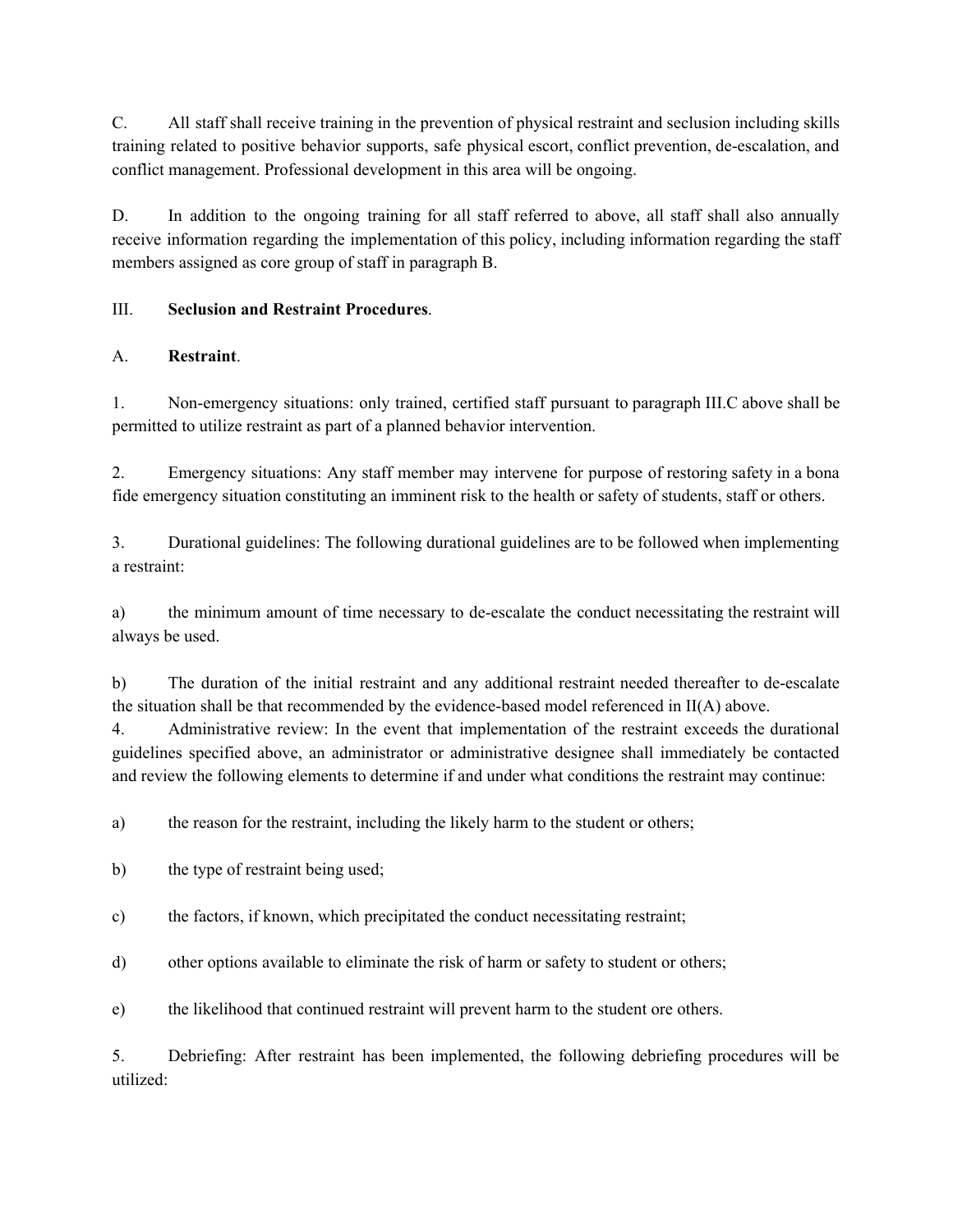C. All staff shall receive training in the prevention of physical restraint and seclusion including skills training related to positive behavior supports, safe physical escort, conflict prevention, de-escalation, and conflict management. Professional development in this area will be ongoing.

D. In addition to the ongoing training for all staff referred to above, all staff shall also annually receive information regarding the implementation of this policy, including information regarding the staff members assigned as core group of staff in paragraph B.

# III. **Seclusion and Restraint Procedures**.

# A. **Restraint**.

1. Non-emergency situations: only trained, certified staff pursuant to paragraph III.C above shall be permitted to utilize restraint as part of a planned behavior intervention.

2. Emergency situations: Any staff member may intervene for purpose of restoring safety in a bona fide emergency situation constituting an imminent risk to the health or safety of students, staff or others.

3. Durational guidelines: The following durational guidelines are to be followed when implementing a restraint:

a) the minimum amount of time necessary to de-escalate the conduct necessitating the restraint will always be used.

b) The duration of the initial restraint and any additional restraint needed thereafter to de-escalate the situation shall be that recommended by the evidence-based model referenced in II(A) above.

4. Administrative review: In the event that implementation of the restraint exceeds the durational guidelines specified above, an administrator or administrative designee shall immediately be contacted and review the following elements to determine if and under what conditions the restraint may continue:

a) the reason for the restraint, including the likely harm to the student or others;

b) the type of restraint being used;

c) the factors, if known, which precipitated the conduct necessitating restraint;

d) other options available to eliminate the risk of harm or safety to student or others;

e) the likelihood that continued restraint will prevent harm to the student ore others.

5. Debriefing: After restraint has been implemented, the following debriefing procedures will be utilized: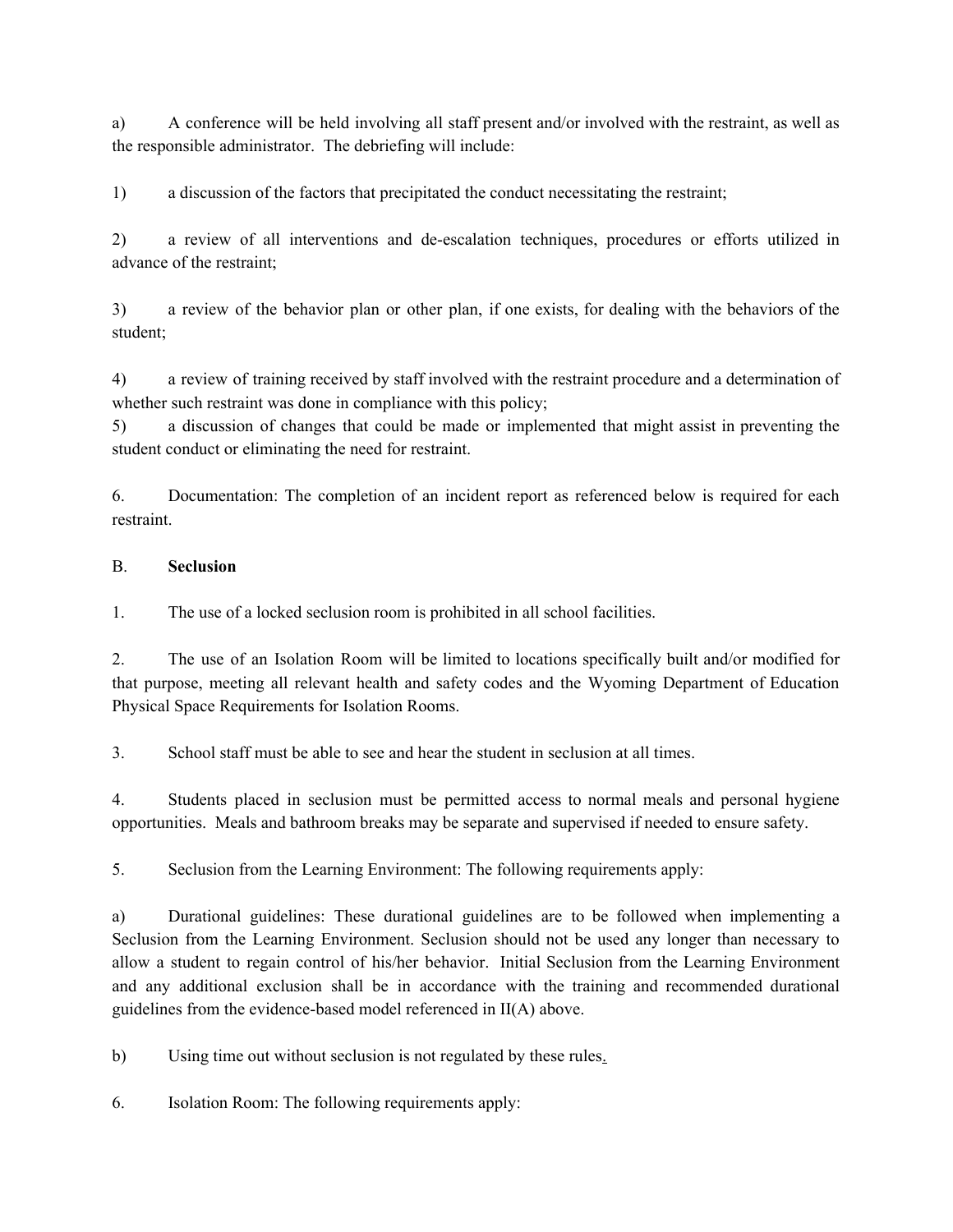a) A conference will be held involving all staff present and/or involved with the restraint, as well as the responsible administrator. The debriefing will include:

1) a discussion of the factors that precipitated the conduct necessitating the restraint;

2) a review of all interventions and de-escalation techniques, procedures or efforts utilized in advance of the restraint;

3) a review of the behavior plan or other plan, if one exists, for dealing with the behaviors of the student;

4) a review of training received by staff involved with the restraint procedure and a determination of whether such restraint was done in compliance with this policy;

5) a discussion of changes that could be made or implemented that might assist in preventing the student conduct or eliminating the need for restraint.

6. Documentation: The completion of an incident report as referenced below is required for each restraint.

# B. **Seclusion**

1. The use of a locked seclusion room is prohibited in all school facilities.

2. The use of an Isolation Room will be limited to locations specifically built and/or modified for that purpose, meeting all relevant health and safety codes and the Wyoming Department of Education Physical Space Requirements for Isolation Rooms.

3. School staff must be able to see and hear the student in seclusion at all times.

4. Students placed in seclusion must be permitted access to normal meals and personal hygiene opportunities. Meals and bathroom breaks may be separate and supervised if needed to ensure safety.

5. Seclusion from the Learning Environment: The following requirements apply:

a) Durational guidelines: These durational guidelines are to be followed when implementing a Seclusion from the Learning Environment. Seclusion should not be used any longer than necessary to allow a student to regain control of his/her behavior. Initial Seclusion from the Learning Environment and any additional exclusion shall be in accordance with the training and recommended durational guidelines from the evidence-based model referenced in II(A) above.

b) Using time out without seclusion is not regulated by these rules.

6. Isolation Room: The following requirements apply: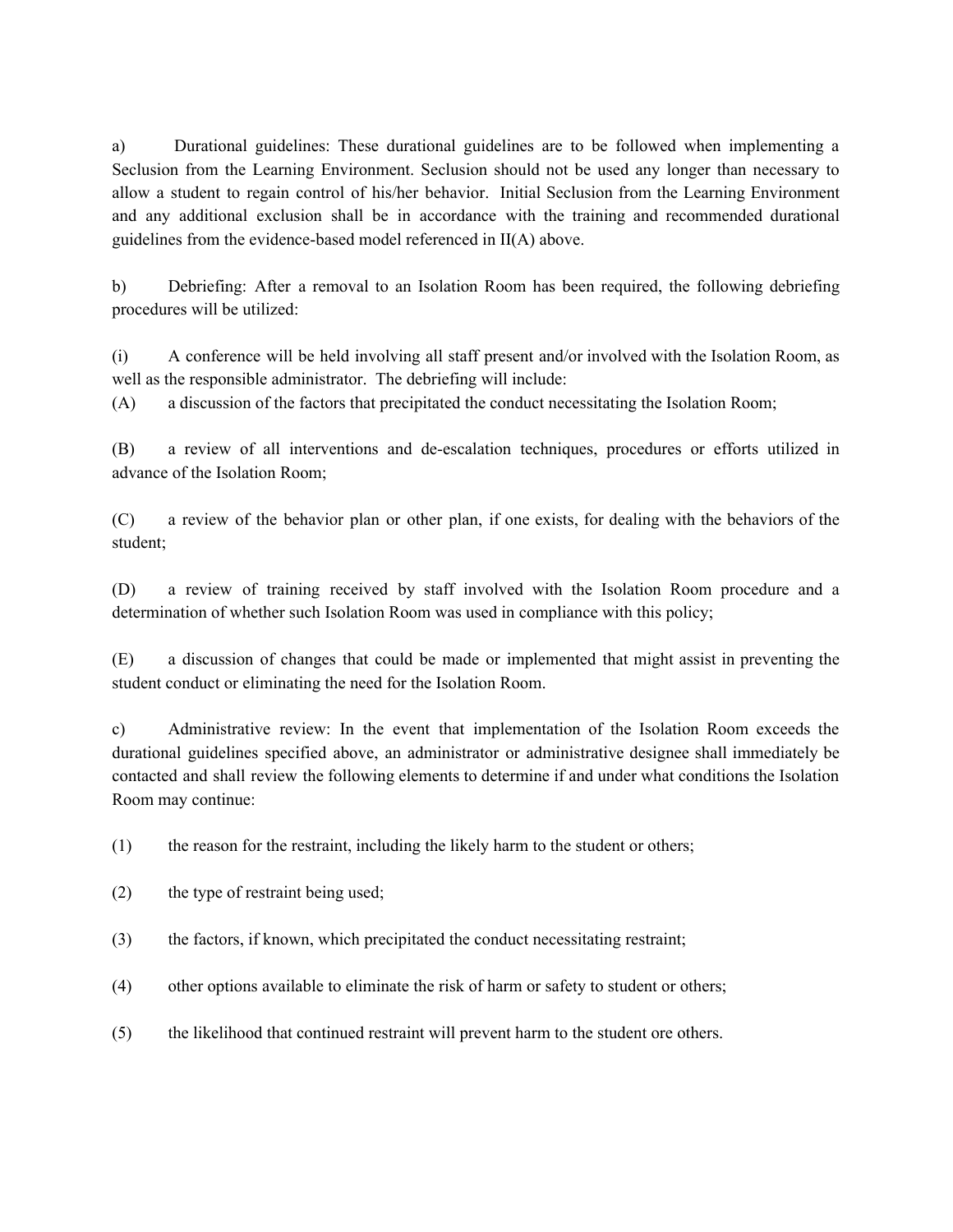a) Durational guidelines: These durational guidelines are to be followed when implementing a Seclusion from the Learning Environment. Seclusion should not be used any longer than necessary to allow a student to regain control of his/her behavior. Initial Seclusion from the Learning Environment and any additional exclusion shall be in accordance with the training and recommended durational guidelines from the evidence-based model referenced in II(A) above.

b) Debriefing: After a removal to an Isolation Room has been required, the following debriefing procedures will be utilized:

(i) A conference will be held involving all staff present and/or involved with the Isolation Room, as well as the responsible administrator. The debriefing will include:

(A) a discussion of the factors that precipitated the conduct necessitating the Isolation Room;

(B) a review of all interventions and de-escalation techniques, procedures or efforts utilized in advance of the Isolation Room;

(C) a review of the behavior plan or other plan, if one exists, for dealing with the behaviors of the student;

(D) a review of training received by staff involved with the Isolation Room procedure and a determination of whether such Isolation Room was used in compliance with this policy;

(E) a discussion of changes that could be made or implemented that might assist in preventing the student conduct or eliminating the need for the Isolation Room.

c) Administrative review: In the event that implementation of the Isolation Room exceeds the durational guidelines specified above, an administrator or administrative designee shall immediately be contacted and shall review the following elements to determine if and under what conditions the Isolation Room may continue:

(1) the reason for the restraint, including the likely harm to the student or others;

- (2) the type of restraint being used;
- (3) the factors, if known, which precipitated the conduct necessitating restraint;
- (4) other options available to eliminate the risk of harm or safety to student or others;
- (5) the likelihood that continued restraint will prevent harm to the student ore others.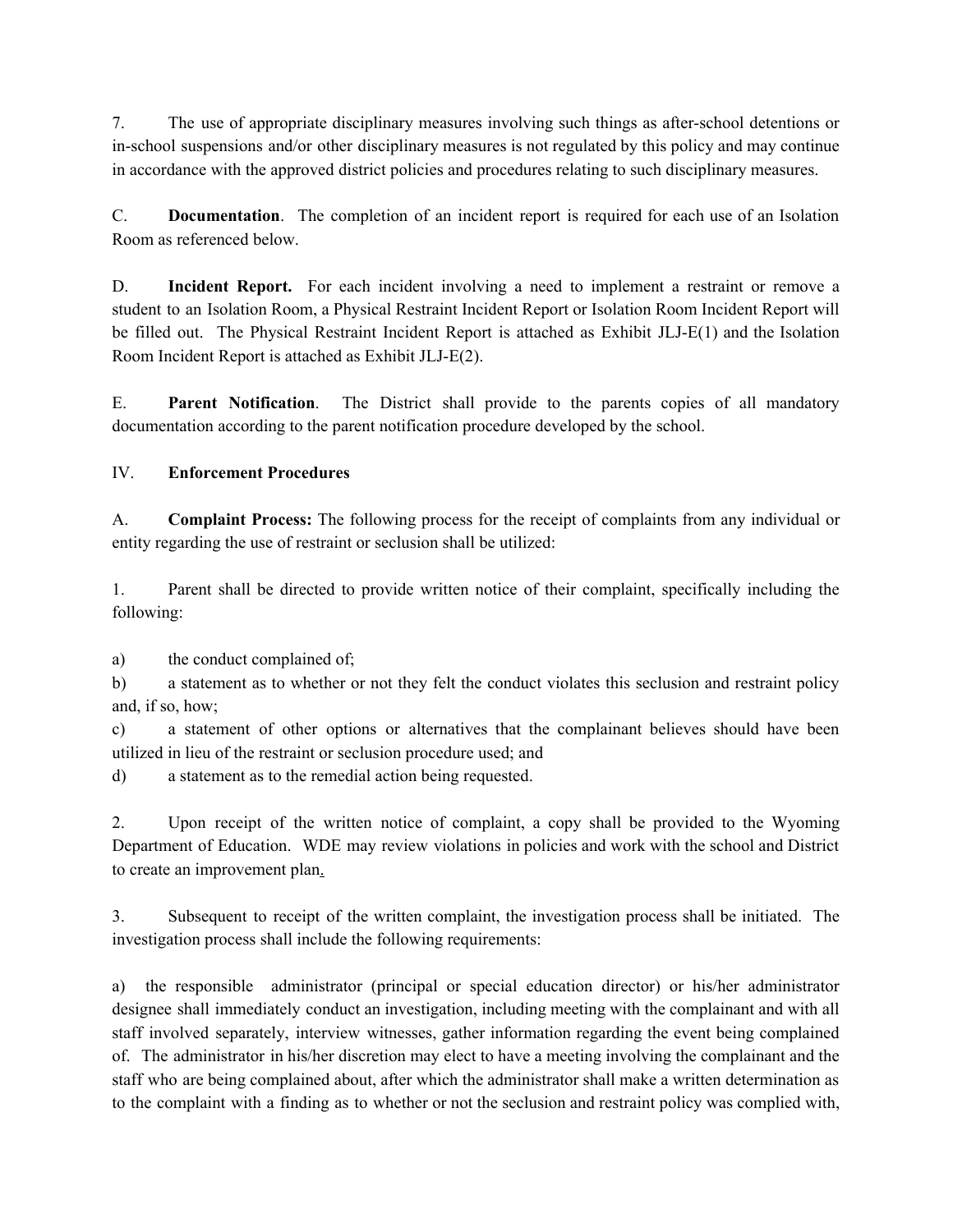7. The use of appropriate disciplinary measures involving such things as after-school detentions or in-school suspensions and/or other disciplinary measures is not regulated by this policy and may continue in accordance with the approved district policies and procedures relating to such disciplinary measures.

C. **Documentation**. The completion of an incident report is required for each use of an Isolation Room as referenced below.

D. **Incident Report.** For each incident involving a need to implement a restraint or remove a student to an Isolation Room, a Physical Restraint Incident Report or Isolation Room Incident Report will be filled out. The Physical Restraint Incident Report is attached as Exhibit JLJ-E(1) and the Isolation Room Incident Report is attached as Exhibit JLJ-E(2).

E. **Parent Notification**. The District shall provide to the parents copies of all mandatory documentation according to the parent notification procedure developed by the school.

# IV. **Enforcement Procedures**

A. **Complaint Process:** The following process for the receipt of complaints from any individual or entity regarding the use of restraint or seclusion shall be utilized:

1. Parent shall be directed to provide written notice of their complaint, specifically including the following:

a) the conduct complained of;

b) a statement as to whether or not they felt the conduct violates this seclusion and restraint policy and, if so, how;

c) a statement of other options or alternatives that the complainant believes should have been utilized in lieu of the restraint or seclusion procedure used; and

d) a statement as to the remedial action being requested.

2. Upon receipt of the written notice of complaint, a copy shall be provided to the Wyoming Department of Education. WDE may review violations in policies and work with the school and District to create an improvement plan.

3. Subsequent to receipt of the written complaint, the investigation process shall be initiated. The investigation process shall include the following requirements:

a) the responsible administrator (principal or special education director) or his/her administrator designee shall immediately conduct an investigation, including meeting with the complainant and with all staff involved separately, interview witnesses, gather information regarding the event being complained of. The administrator in his/her discretion may elect to have a meeting involving the complainant and the staff who are being complained about, after which the administrator shall make a written determination as to the complaint with a finding as to whether or not the seclusion and restraint policy was complied with,